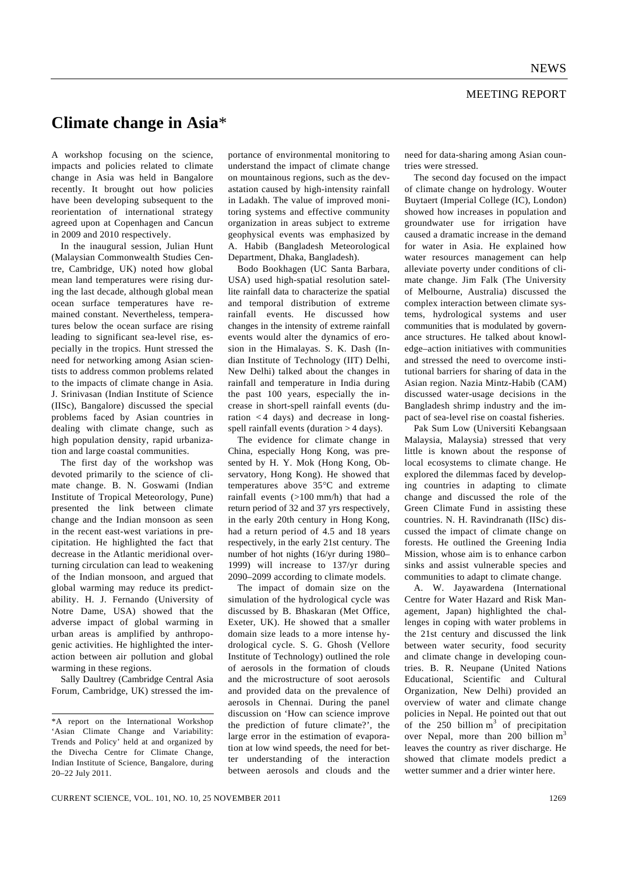## MEETING REPORT

## **Climate change in Asia**\*

A workshop focusing on the science, impacts and policies related to climate change in Asia was held in Bangalore recently. It brought out how policies have been developing subsequent to the reorientation of international strategy agreed upon at Copenhagen and Cancun in 2009 and 2010 respectively.

 In the inaugural session, Julian Hunt (Malaysian Commonwealth Studies Centre, Cambridge, UK) noted how global mean land temperatures were rising during the last decade, although global mean ocean surface temperatures have remained constant. Nevertheless, temperatures below the ocean surface are rising leading to significant sea-level rise, especially in the tropics. Hunt stressed the need for networking among Asian scientists to address common problems related to the impacts of climate change in Asia. J. Srinivasan (Indian Institute of Science (IISc), Bangalore) discussed the special problems faced by Asian countries in dealing with climate change, such as high population density, rapid urbanization and large coastal communities.

 The first day of the workshop was devoted primarily to the science of climate change. B. N. Goswami (Indian Institute of Tropical Meteorology, Pune) presented the link between climate change and the Indian monsoon as seen in the recent east-west variations in precipitation. He highlighted the fact that decrease in the Atlantic meridional overturning circulation can lead to weakening of the Indian monsoon, and argued that global warming may reduce its predictability. H. J. Fernando (University of Notre Dame, USA) showed that the adverse impact of global warming in urban areas is amplified by anthropogenic activities. He highlighted the interaction between air pollution and global warming in these regions.

 Sally Daultrey (Cambridge Central Asia Forum, Cambridge, UK) stressed the importance of environmental monitoring to understand the impact of climate change on mountainous regions, such as the devastation caused by high-intensity rainfall in Ladakh. The value of improved monitoring systems and effective community organization in areas subject to extreme geophysical events was emphasized by A. Habib (Bangladesh Meteorological Department, Dhaka, Bangladesh).

 Bodo Bookhagen (UC Santa Barbara, USA) used high-spatial resolution satellite rainfall data to characterize the spatial and temporal distribution of extreme rainfall events. He discussed how changes in the intensity of extreme rainfall events would alter the dynamics of erosion in the Himalayas. S. K. Dash (Indian Institute of Technology (IIT) Delhi, New Delhi) talked about the changes in rainfall and temperature in India during the past 100 years, especially the increase in short-spell rainfall events (duration < 4 days) and decrease in longspell rainfall events (duration > 4 days).

 The evidence for climate change in China, especially Hong Kong, was presented by H. Y. Mok (Hong Kong, Observatory, Hong Kong). He showed that temperatures above 35°C and extreme rainfall events (>100 mm/h) that had a return period of 32 and 37 yrs respectively, in the early 20th century in Hong Kong, had a return period of 4.5 and 18 years respectively, in the early 21st century. The number of hot nights (16/yr during 1980– 1999) will increase to 137/yr during 2090–2099 according to climate models.

 The impact of domain size on the simulation of the hydrological cycle was discussed by B. Bhaskaran (Met Office, Exeter, UK). He showed that a smaller domain size leads to a more intense hydrological cycle. S. G. Ghosh (Vellore Institute of Technology) outlined the role of aerosols in the formation of clouds and the microstructure of soot aerosols and provided data on the prevalence of aerosols in Chennai. During the panel discussion on 'How can science improve the prediction of future climate?', the large error in the estimation of evaporation at low wind speeds, the need for better understanding of the interaction between aerosols and clouds and the

need for data-sharing among Asian countries were stressed.

 The second day focused on the impact of climate change on hydrology. Wouter Buytaert (Imperial College (IC), London) showed how increases in population and groundwater use for irrigation have caused a dramatic increase in the demand for water in Asia. He explained how water resources management can help alleviate poverty under conditions of climate change. Jim Falk (The University of Melbourne, Australia) discussed the complex interaction between climate systems, hydrological systems and user communities that is modulated by governance structures. He talked about knowledge–action initiatives with communities and stressed the need to overcome institutional barriers for sharing of data in the Asian region. Nazia Mintz-Habib (CAM) discussed water-usage decisions in the Bangladesh shrimp industry and the impact of sea-level rise on coastal fisheries.

 Pak Sum Low (Universiti Kebangsaan Malaysia, Malaysia) stressed that very little is known about the response of local ecosystems to climate change. He explored the dilemmas faced by developing countries in adapting to climate change and discussed the role of the Green Climate Fund in assisting these countries. N. H. Ravindranath (IISc) discussed the impact of climate change on forests. He outlined the Greening India Mission, whose aim is to enhance carbon sinks and assist vulnerable species and communities to adapt to climate change.

 A. W. Jayawardena (International Centre for Water Hazard and Risk Management, Japan) highlighted the challenges in coping with water problems in the 21st century and discussed the link between water security, food security and climate change in developing countries. B. R. Neupane (United Nations Educational, Scientific and Cultural Organization, New Delhi) provided an overview of water and climate change policies in Nepal. He pointed out that out of the  $250$  billion  $m<sup>3</sup>$  of precipitation over Nepal, more than 200 billion  $m<sup>3</sup>$ leaves the country as river discharge. He showed that climate models predict a wetter summer and a drier winter here.

<sup>\*</sup>A report on the International Workshop 'Asian Climate Change and Variability: Trends and Policy' held at and organized by the Divecha Centre for Climate Change, Indian Institute of Science, Bangalore, during 20–22 July 2011.